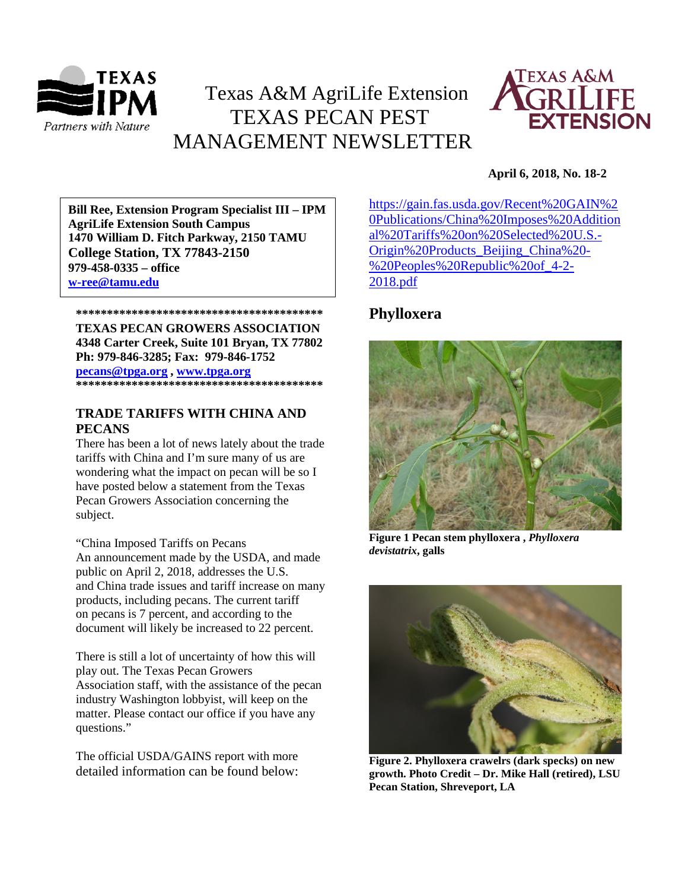

# Texas A&M AgriLife Extension TEXAS PECAN PEST MANAGEMENT NEWSLETTER



# **April 6, 2018, No. 18-2**

**\*\*\*\*\*\*\*\*\*\*\*\*\*\*\*\*\*\*\*\*\*\*\*\*\*\*\*\*\*\*\*\*\*\*\*\*\*\*\*\* 1470 William D. Fitch Parkway, 2150 TAMU Bill Ree, Extension Program Specialist III – IPM AgriLife Extension South Campus College Station, TX 77843-2150 979-458-0335 – office [w-ree@tamu.edu](mailto:w-ree@tamu.edu)**

# **\*\*\*\*\*\*\*\*\*\*\*\*\*\*\*\*\*\*\*\*\*\*\*\*\*\*\*\*\*\*\*\*\*\*\*\*\*\*\*\* TEXAS PECAN GROWERS ASSOCIATION 4348 Carter Creek, Suite 101 Bryan, TX 77802 Ph: 979-846-3285; Fax: 979-846-1752**

**[pecans@tpga.org](mailto:pecans@tpga.org) , [www.tpga.org](http://www.tpga.org/)**

**\*\*\*\*\*\*\*\*\*\*\*\*\*\*\*\*\*\*\*\*\*\*\*\*\*\*\*\*\*\*\*\*\*\*\*\*\*\*\*\***

# **TRADE TARIFFS WITH CHINA AND PECANS**

There has been a lot of news lately about the trade tariffs with China and I'm sure many of us are wondering what the impact on pecan will be so I have posted below a statement from the Texas Pecan Growers Association concerning the subject.

"China Imposed Tariffs on Pecans An announcement made by the USDA, and made public on April 2, 2018, addresses the U.S. and China trade issues and tariff increase on many products, including pecans. The current tariff on pecans is 7 percent, and according to the document will likely be increased to 22 percent.

There is still a lot of uncertainty of how this will play out. The Texas Pecan Growers Association staff, with the assistance of the pecan industry Washington lobbyist, will keep on the matter. Please contact our office if you have any questions."

The official USDA/GAINS report with more detailed information can be found below: [https://gain.fas.usda.gov/Recent%20GAIN%2](https://urldefense.proofpoint.com/v2/url?u=https-3A__gain.fas.usda.gov_Recent-2520GAIN-2520Publications_China-2520Imposes-2520Additional-2520Tariffs-2520on-2520Selected-2520U.S.-2DOrigin-2520Products-5FBeijing-5FChina-2520-2D-2520Peoples-2520Republic-2520of-5F4-2D2-2D2018.pdf&d=DwMFaQ&c=r_tSStIHV2ie60z4DgB-pQ&r=7ETvXZMHqvNaf4CKhIOHum0To6lAeBzagnOltKWg7mE&m=fH8xuCXTuF3XiaMFOQvfDAxiDPUx5gonDuj5htVUvbU&s=HpCHQ4egAvCKzg_2Z2jevgVf6zOfa97wIEsXaIsCKlw&e=) [0Publications/China%20Imposes%20Addition](https://urldefense.proofpoint.com/v2/url?u=https-3A__gain.fas.usda.gov_Recent-2520GAIN-2520Publications_China-2520Imposes-2520Additional-2520Tariffs-2520on-2520Selected-2520U.S.-2DOrigin-2520Products-5FBeijing-5FChina-2520-2D-2520Peoples-2520Republic-2520of-5F4-2D2-2D2018.pdf&d=DwMFaQ&c=r_tSStIHV2ie60z4DgB-pQ&r=7ETvXZMHqvNaf4CKhIOHum0To6lAeBzagnOltKWg7mE&m=fH8xuCXTuF3XiaMFOQvfDAxiDPUx5gonDuj5htVUvbU&s=HpCHQ4egAvCKzg_2Z2jevgVf6zOfa97wIEsXaIsCKlw&e=) [al%20Tariffs%20on%20Selected%20U.S.-](https://urldefense.proofpoint.com/v2/url?u=https-3A__gain.fas.usda.gov_Recent-2520GAIN-2520Publications_China-2520Imposes-2520Additional-2520Tariffs-2520on-2520Selected-2520U.S.-2DOrigin-2520Products-5FBeijing-5FChina-2520-2D-2520Peoples-2520Republic-2520of-5F4-2D2-2D2018.pdf&d=DwMFaQ&c=r_tSStIHV2ie60z4DgB-pQ&r=7ETvXZMHqvNaf4CKhIOHum0To6lAeBzagnOltKWg7mE&m=fH8xuCXTuF3XiaMFOQvfDAxiDPUx5gonDuj5htVUvbU&s=HpCHQ4egAvCKzg_2Z2jevgVf6zOfa97wIEsXaIsCKlw&e=) [Origin%20Products\\_Beijing\\_China%20-](https://urldefense.proofpoint.com/v2/url?u=https-3A__gain.fas.usda.gov_Recent-2520GAIN-2520Publications_China-2520Imposes-2520Additional-2520Tariffs-2520on-2520Selected-2520U.S.-2DOrigin-2520Products-5FBeijing-5FChina-2520-2D-2520Peoples-2520Republic-2520of-5F4-2D2-2D2018.pdf&d=DwMFaQ&c=r_tSStIHV2ie60z4DgB-pQ&r=7ETvXZMHqvNaf4CKhIOHum0To6lAeBzagnOltKWg7mE&m=fH8xuCXTuF3XiaMFOQvfDAxiDPUx5gonDuj5htVUvbU&s=HpCHQ4egAvCKzg_2Z2jevgVf6zOfa97wIEsXaIsCKlw&e=) [%20Peoples%20Republic%20of\\_4-2-](https://urldefense.proofpoint.com/v2/url?u=https-3A__gain.fas.usda.gov_Recent-2520GAIN-2520Publications_China-2520Imposes-2520Additional-2520Tariffs-2520on-2520Selected-2520U.S.-2DOrigin-2520Products-5FBeijing-5FChina-2520-2D-2520Peoples-2520Republic-2520of-5F4-2D2-2D2018.pdf&d=DwMFaQ&c=r_tSStIHV2ie60z4DgB-pQ&r=7ETvXZMHqvNaf4CKhIOHum0To6lAeBzagnOltKWg7mE&m=fH8xuCXTuF3XiaMFOQvfDAxiDPUx5gonDuj5htVUvbU&s=HpCHQ4egAvCKzg_2Z2jevgVf6zOfa97wIEsXaIsCKlw&e=) [2018.pdf](https://urldefense.proofpoint.com/v2/url?u=https-3A__gain.fas.usda.gov_Recent-2520GAIN-2520Publications_China-2520Imposes-2520Additional-2520Tariffs-2520on-2520Selected-2520U.S.-2DOrigin-2520Products-5FBeijing-5FChina-2520-2D-2520Peoples-2520Republic-2520of-5F4-2D2-2D2018.pdf&d=DwMFaQ&c=r_tSStIHV2ie60z4DgB-pQ&r=7ETvXZMHqvNaf4CKhIOHum0To6lAeBzagnOltKWg7mE&m=fH8xuCXTuF3XiaMFOQvfDAxiDPUx5gonDuj5htVUvbU&s=HpCHQ4egAvCKzg_2Z2jevgVf6zOfa97wIEsXaIsCKlw&e=)

# **Phylloxera**



**Figure 1 Pecan stem phylloxera ,** *Phylloxera devistatrix***, galls**



**Figure 2. Phylloxera crawelrs (dark specks) on new growth. Photo Credit – Dr. Mike Hall (retired), LSU Pecan Station, Shreveport, LA**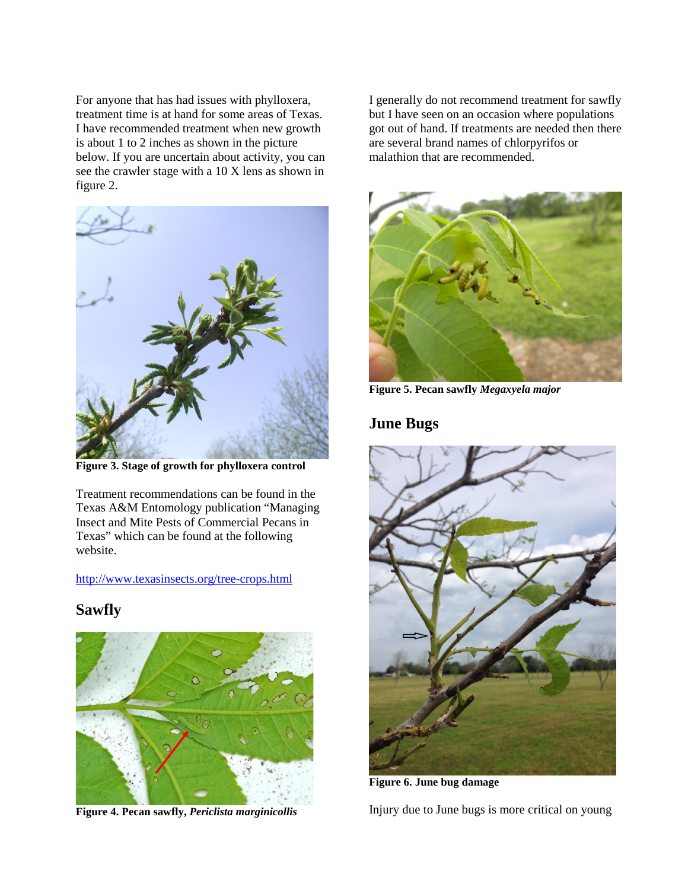For anyone that has had issues with phylloxera, treatment time is at hand for some areas of Texas. I have recommended treatment when new growth is about 1 to 2 inches as shown in the picture below. If you are uncertain about activity, you can see the crawler stage with a 10 X lens as shown in figure 2.



**Figure 3. Stage of growth for phylloxera control**

Treatment recommendations can be found in the Texas A&M Entomology publication "Managing Insect and Mite Pests of Commercial Pecans in Texas" which can be found at the following website.

<http://www.texasinsects.org/tree-crops.html>

# **Sawfly**



**Figure 4. Pecan sawfly,** *Periclista marginicollis*

I generally do not recommend treatment for sawfly but I have seen on an occasion where populations got out of hand. If treatments are needed then there are several brand names of chlorpyrifos or malathion that are recommended.



**Figure 5. Pecan sawfly** *Megaxyela major*

# **June Bugs**



**Figure 6. June bug damage**

Injury due to June bugs is more critical on young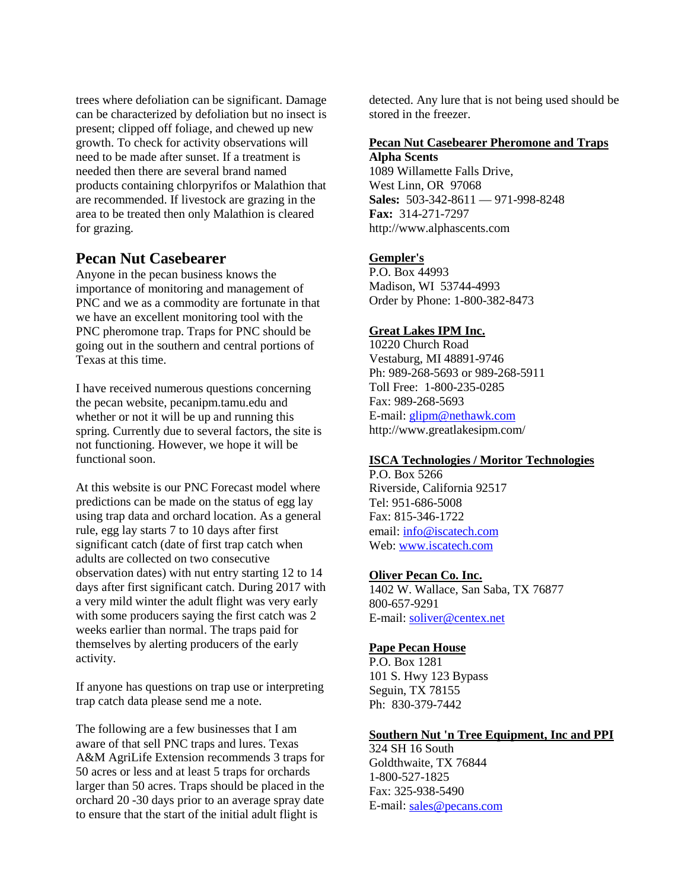trees where defoliation can be significant. Damage can be characterized by defoliation but no insect is present; clipped off foliage, and chewed up new growth. To check for activity observations will need to be made after sunset. If a treatment is needed then there are several brand named products containing chlorpyrifos or Malathion that are recommended. If livestock are grazing in the area to be treated then only Malathion is cleared for grazing.

# **Pecan Nut Casebearer**

Anyone in the pecan business knows the importance of monitoring and management of PNC and we as a commodity are fortunate in that we have an excellent monitoring tool with the PNC pheromone trap. Traps for PNC should be going out in the southern and central portions of Texas at this time.

I have received numerous questions concerning the pecan website, pecanipm.tamu.edu and whether or not it will be up and running this spring. Currently due to several factors, the site is not functioning. However, we hope it will be functional soon.

At this website is our PNC Forecast model where predictions can be made on the status of egg lay using trap data and orchard location. As a general rule, egg lay starts 7 to 10 days after first significant catch (date of first trap catch when adults are collected on two consecutive observation dates) with nut entry starting 12 to 14 days after first significant catch. During 2017 with a very mild winter the adult flight was very early with some producers saying the first catch was 2 weeks earlier than normal. The traps paid for themselves by alerting producers of the early activity.

If anyone has questions on trap use or interpreting trap catch data please send me a note.

The following are a few businesses that I am aware of that sell PNC traps and lures. Texas A&M AgriLife Extension recommends 3 traps for 50 acres or less and at least 5 traps for orchards larger than 50 acres. Traps should be placed in the orchard 20 -30 days prior to an average spray date to ensure that the start of the initial adult flight is

detected. Any lure that is not being used should be stored in the freezer.

#### **Pecan Nut Casebearer Pheromone and Traps Alpha Scents**

1089 Willamette Falls Drive, West Linn, OR 97068 **Sales:** 503-342-8611 — 971-998-8248 **Fax:** 314-271-7297 http://www.alphascents.com

# **[Gempler's](http://www.gemplers.com/)**

P.O. Box 44993 Madison, WI 53744-4993 Order by Phone: 1-800-382-8473

# **[Great Lakes IPM Inc.](http://www.greatlakesipm.com/)**

10220 Church Road Vestaburg, MI 48891-9746 Ph: 989-268-5693 or 989-268-5911 Toll Free: 1-800-235-0285 Fax: 989-268-5693 E-mail: [glipm@nethawk.com](mailto:glipm@nethawk.com) http://www.greatlakesipm.com/

# **[ISCA Technologies / Moritor Technologies](http://www.iscatech.com/exec/)**

P.O. Box 5266 Riverside, California 92517 Tel: 951-686-5008 Fax: 815-346-1722 email[: info@iscatech.com](mailto:info@iscatech.com) Web: [www.iscatech.com](http://www.iscatech.com/)

# **[Oliver Pecan Co. Inc.](http://www.oliverpecan.com/)**

1402 W. Wallace, San Saba, TX 76877 800-657-9291 E-mail: [soliver@centex.net](mailto:soliver@centex.net)

# **[Pape Pecan House](http://www.papepecan.com/)**

P.O. Box 1281 101 S. Hwy 123 Bypass Seguin, TX 78155 Ph: 830-379-7442

#### **Southern Nut 'n Tree Equipment, Inc and PPI**

324 SH 16 South Goldthwaite, TX 76844 1-800-527-1825 Fax: 325-938-5490 E-mail: [sales@pecans.com](mailto:sales@pecans.com)